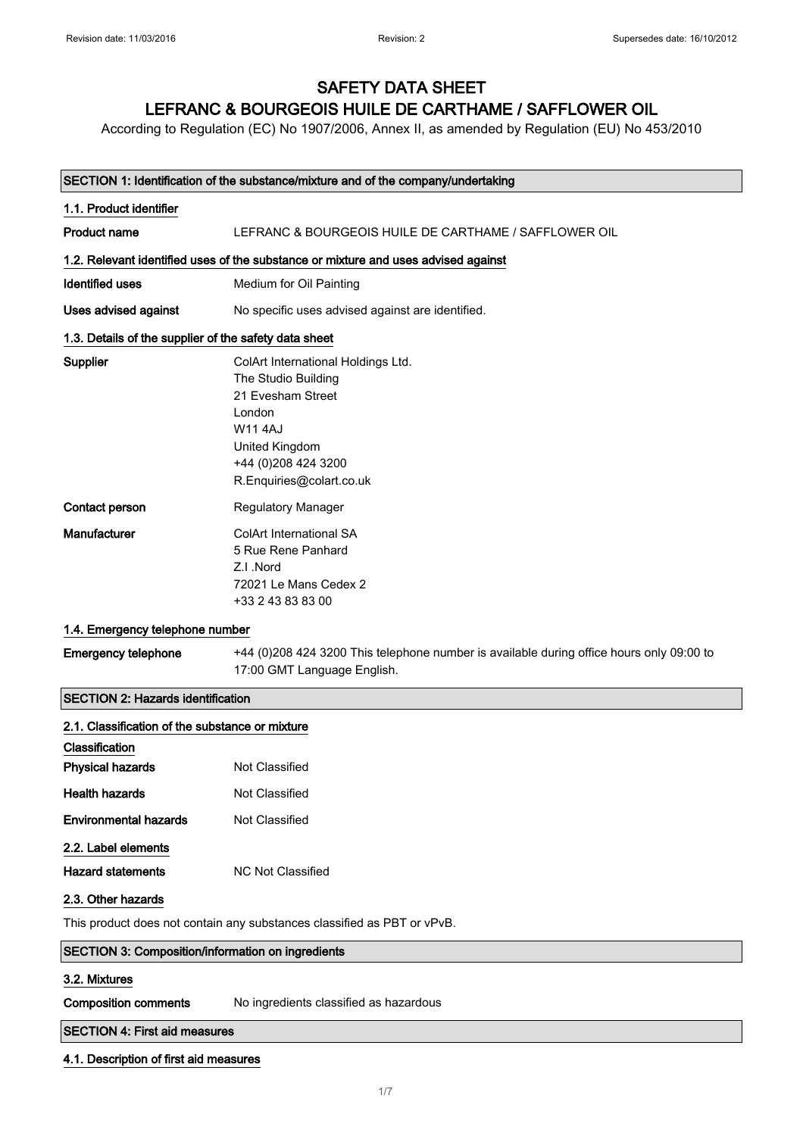## SAFETY DATA SHEET LEFRANC & BOURGEOIS HUILE DE CARTHAME / SAFFLOWER OIL

According to Regulation (EC) No 1907/2006, Annex II, as amended by Regulation (EU) No 453/2010

#### SECTION 1: Identification of the substance/mixture and of the company/undertaking

| 1.1. Product identifier                               |                                                                                                                                                                                 |
|-------------------------------------------------------|---------------------------------------------------------------------------------------------------------------------------------------------------------------------------------|
| <b>Product name</b>                                   | LEFRANC & BOURGEOIS HUILE DE CARTHAME / SAFFLOWER OIL                                                                                                                           |
|                                                       | 1.2. Relevant identified uses of the substance or mixture and uses advised against                                                                                              |
| <b>Identified uses</b>                                | Medium for Oil Painting                                                                                                                                                         |
| Uses advised against                                  | No specific uses advised against are identified.                                                                                                                                |
| 1.3. Details of the supplier of the safety data sheet |                                                                                                                                                                                 |
| Supplier                                              | ColArt International Holdings Ltd.<br>The Studio Building<br>21 Evesham Street<br>London<br><b>W114AJ</b><br>United Kingdom<br>+44 (0) 208 424 3200<br>R.Enquiries@colart.co.uk |
| Contact person                                        | <b>Regulatory Manager</b>                                                                                                                                                       |
| Manufacturer                                          | <b>ColArt International SA</b><br>5 Rue Rene Panhard<br>Z.I.Nord<br>72021 Le Mans Cedex 2<br>+33 2 43 83 83 00                                                                  |
| 1.4. Emergency telephone number                       |                                                                                                                                                                                 |
| <b>Emergency telephone</b>                            | +44 (0)208 424 3200 This telephone number is available during office hours only 09:00 to<br>17:00 GMT Language English.                                                         |
| <b>SECTION 2: Hazards identification</b>              |                                                                                                                                                                                 |
| 2.1. Classification of the substance or mixture       |                                                                                                                                                                                 |
| Classification                                        |                                                                                                                                                                                 |
| <b>Physical hazards</b>                               | Not Classified                                                                                                                                                                  |
| <b>Health hazards</b>                                 | Not Classified                                                                                                                                                                  |
| <b>Environmental hazards</b>                          | Not Classified                                                                                                                                                                  |

2.2. Label elements

Hazard statements MC Not Classified

## 2.3. Other hazards

This product does not contain any substances classified as PBT or vPvB.

| <b>SECTION 3: Composition/information on ingredients</b> |
|----------------------------------------------------------|
|                                                          |

#### 3.2. Mixtures

Composition comments No ingredients classified as hazardous

#### SECTION 4: First aid measures

## 4.1. Description of first aid measures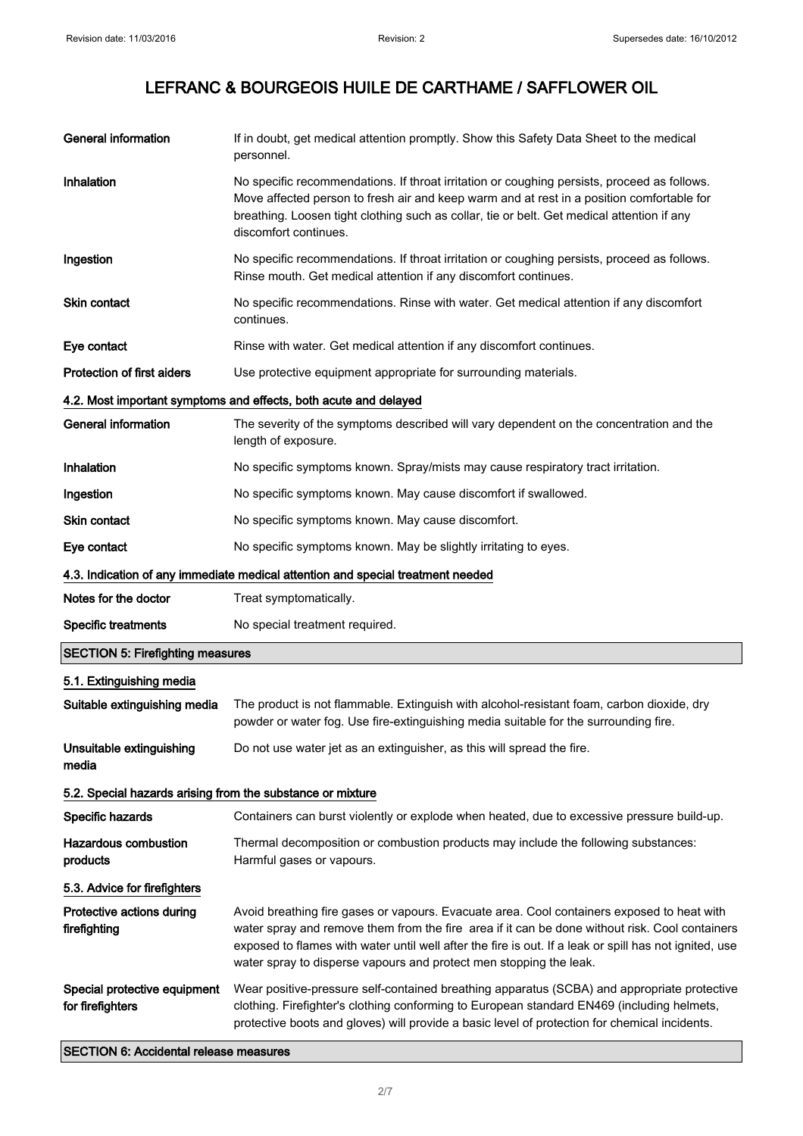| <b>General information</b>                                                                           | If in doubt, get medical attention promptly. Show this Safety Data Sheet to the medical<br>personnel.                                                                                                                                                                                                                                                                        |
|------------------------------------------------------------------------------------------------------|------------------------------------------------------------------------------------------------------------------------------------------------------------------------------------------------------------------------------------------------------------------------------------------------------------------------------------------------------------------------------|
| Inhalation                                                                                           | No specific recommendations. If throat irritation or coughing persists, proceed as follows.<br>Move affected person to fresh air and keep warm and at rest in a position comfortable for<br>breathing. Loosen tight clothing such as collar, tie or belt. Get medical attention if any<br>discomfort continues.                                                              |
| Ingestion                                                                                            | No specific recommendations. If throat irritation or coughing persists, proceed as follows.<br>Rinse mouth. Get medical attention if any discomfort continues.                                                                                                                                                                                                               |
| Skin contact                                                                                         | No specific recommendations. Rinse with water. Get medical attention if any discomfort<br>continues.                                                                                                                                                                                                                                                                         |
| Eye contact                                                                                          | Rinse with water. Get medical attention if any discomfort continues.                                                                                                                                                                                                                                                                                                         |
| Protection of first aiders                                                                           | Use protective equipment appropriate for surrounding materials.                                                                                                                                                                                                                                                                                                              |
|                                                                                                      | 4.2. Most important symptoms and effects, both acute and delayed                                                                                                                                                                                                                                                                                                             |
| <b>General information</b>                                                                           | The severity of the symptoms described will vary dependent on the concentration and the<br>length of exposure.                                                                                                                                                                                                                                                               |
| Inhalation                                                                                           | No specific symptoms known. Spray/mists may cause respiratory tract irritation.                                                                                                                                                                                                                                                                                              |
| Ingestion                                                                                            | No specific symptoms known. May cause discomfort if swallowed.                                                                                                                                                                                                                                                                                                               |
| <b>Skin contact</b>                                                                                  | No specific symptoms known. May cause discomfort.                                                                                                                                                                                                                                                                                                                            |
| Eye contact                                                                                          | No specific symptoms known. May be slightly irritating to eyes.                                                                                                                                                                                                                                                                                                              |
|                                                                                                      | 4.3. Indication of any immediate medical attention and special treatment needed                                                                                                                                                                                                                                                                                              |
| Notes for the doctor                                                                                 | Treat symptomatically.                                                                                                                                                                                                                                                                                                                                                       |
| <b>Specific treatments</b>                                                                           | No special treatment required.                                                                                                                                                                                                                                                                                                                                               |
| <b>SECTION 5: Firefighting measures</b>                                                              |                                                                                                                                                                                                                                                                                                                                                                              |
| 5.1. Extinguishing media                                                                             |                                                                                                                                                                                                                                                                                                                                                                              |
| Suitable extinguishing media                                                                         | The product is not flammable. Extinguish with alcohol-resistant foam, carbon dioxide, dry<br>powder or water fog. Use fire-extinguishing media suitable for the surrounding fire.                                                                                                                                                                                            |
| Unsuitable extinguishing<br>media                                                                    | Do not use water jet as an extinguisher, as this will spread the fire.                                                                                                                                                                                                                                                                                                       |
| 5.2. Special hazards arising from the substance or mixture                                           |                                                                                                                                                                                                                                                                                                                                                                              |
| Specific hazards                                                                                     | Containers can burst violently or explode when heated, due to excessive pressure build-up.                                                                                                                                                                                                                                                                                   |
| <b>Hazardous combustion</b><br>products                                                              | Thermal decomposition or combustion products may include the following substances:<br>Harmful gases or vapours.                                                                                                                                                                                                                                                              |
| 5.3. Advice for firefighters                                                                         |                                                                                                                                                                                                                                                                                                                                                                              |
| Protective actions during<br>firefighting                                                            | Avoid breathing fire gases or vapours. Evacuate area. Cool containers exposed to heat with<br>water spray and remove them from the fire area if it can be done without risk. Cool containers<br>exposed to flames with water until well after the fire is out. If a leak or spill has not ignited, use<br>water spray to disperse vapours and protect men stopping the leak. |
| Special protective equipment<br>for firefighters<br><b>CECTION &amp; Appidantal relegge moneurne</b> | Wear positive-pressure self-contained breathing apparatus (SCBA) and appropriate protective<br>clothing. Firefighter's clothing conforming to European standard EN469 (including helmets,<br>protective boots and gloves) will provide a basic level of protection for chemical incidents.                                                                                   |

SECTION 6: Accidental release measures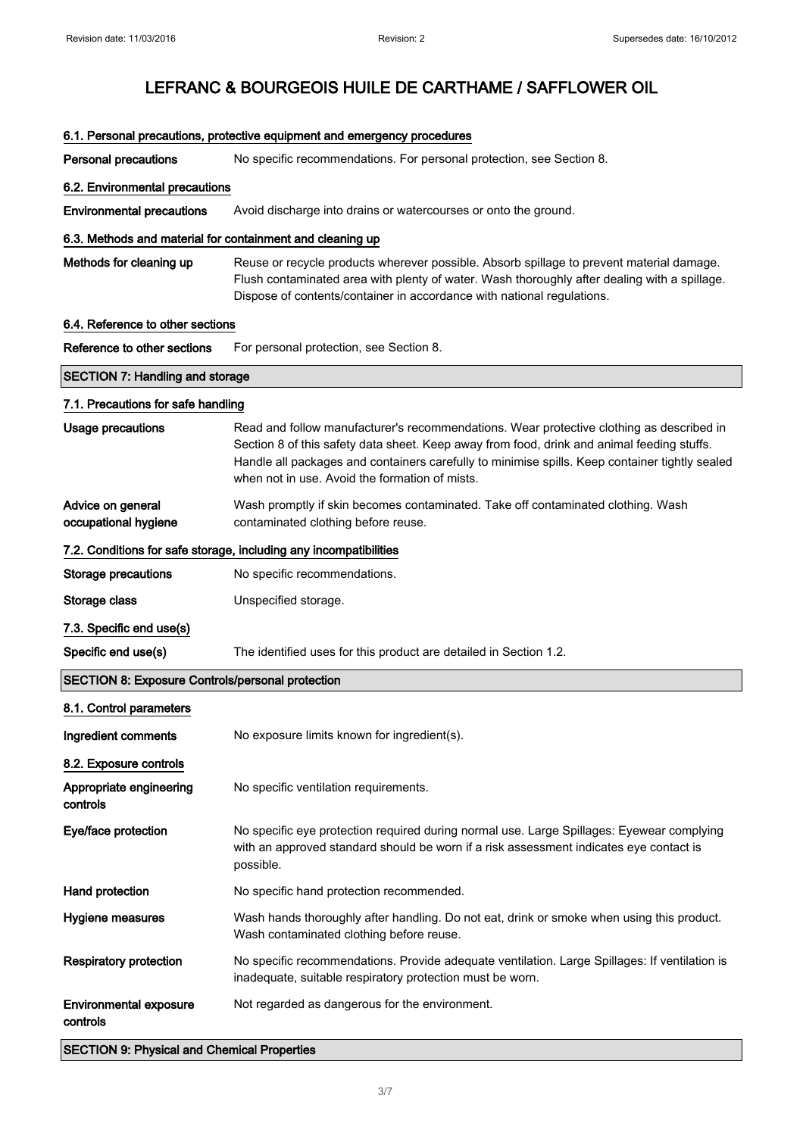|                                                           | 6.1. Personal precautions, protective equipment and emergency procedures                                                                                                                                                                                                                                                                   |
|-----------------------------------------------------------|--------------------------------------------------------------------------------------------------------------------------------------------------------------------------------------------------------------------------------------------------------------------------------------------------------------------------------------------|
| <b>Personal precautions</b>                               | No specific recommendations. For personal protection, see Section 8.                                                                                                                                                                                                                                                                       |
| 6.2. Environmental precautions                            |                                                                                                                                                                                                                                                                                                                                            |
| <b>Environmental precautions</b>                          | Avoid discharge into drains or watercourses or onto the ground.                                                                                                                                                                                                                                                                            |
| 6.3. Methods and material for containment and cleaning up |                                                                                                                                                                                                                                                                                                                                            |
| Methods for cleaning up                                   | Reuse or recycle products wherever possible. Absorb spillage to prevent material damage.<br>Flush contaminated area with plenty of water. Wash thoroughly after dealing with a spillage.<br>Dispose of contents/container in accordance with national regulations.                                                                         |
| 6.4. Reference to other sections                          |                                                                                                                                                                                                                                                                                                                                            |
| Reference to other sections                               | For personal protection, see Section 8.                                                                                                                                                                                                                                                                                                    |
| <b>SECTION 7: Handling and storage</b>                    |                                                                                                                                                                                                                                                                                                                                            |
| 7.1. Precautions for safe handling                        |                                                                                                                                                                                                                                                                                                                                            |
| <b>Usage precautions</b>                                  | Read and follow manufacturer's recommendations. Wear protective clothing as described in<br>Section 8 of this safety data sheet. Keep away from food, drink and animal feeding stuffs.<br>Handle all packages and containers carefully to minimise spills. Keep container tightly sealed<br>when not in use. Avoid the formation of mists. |
| Advice on general<br>occupational hygiene                 | Wash promptly if skin becomes contaminated. Take off contaminated clothing. Wash<br>contaminated clothing before reuse.                                                                                                                                                                                                                    |
|                                                           | 7.2. Conditions for safe storage, including any incompatibilities                                                                                                                                                                                                                                                                          |
| <b>Storage precautions</b>                                | No specific recommendations.                                                                                                                                                                                                                                                                                                               |
| Storage class                                             | Unspecified storage.                                                                                                                                                                                                                                                                                                                       |
| 7.3. Specific end use(s)                                  |                                                                                                                                                                                                                                                                                                                                            |
| Specific end use(s)                                       | The identified uses for this product are detailed in Section 1.2.                                                                                                                                                                                                                                                                          |
| <b>SECTION 8: Exposure Controls/personal protection</b>   |                                                                                                                                                                                                                                                                                                                                            |
| 8.1. Control parameters                                   |                                                                                                                                                                                                                                                                                                                                            |
| Ingredient comments                                       | No exposure limits known for ingredient(s).                                                                                                                                                                                                                                                                                                |
| 8.2. Exposure controls                                    |                                                                                                                                                                                                                                                                                                                                            |
| Appropriate engineering<br>controls                       | No specific ventilation requirements.                                                                                                                                                                                                                                                                                                      |
| Eye/face protection                                       | No specific eye protection required during normal use. Large Spillages: Eyewear complying<br>with an approved standard should be worn if a risk assessment indicates eye contact is<br>possible.                                                                                                                                           |
| Hand protection                                           | No specific hand protection recommended.                                                                                                                                                                                                                                                                                                   |
| <b>Hygiene measures</b>                                   | Wash hands thoroughly after handling. Do not eat, drink or smoke when using this product.<br>Wash contaminated clothing before reuse.                                                                                                                                                                                                      |
| <b>Respiratory protection</b>                             | No specific recommendations. Provide adequate ventilation. Large Spillages: If ventilation is<br>inadequate, suitable respiratory protection must be worn.                                                                                                                                                                                 |
| <b>Environmental exposure</b><br>controls                 | Not regarded as dangerous for the environment.                                                                                                                                                                                                                                                                                             |
| <b>SECTION 9: Physical and Chemical Properties</b>        |                                                                                                                                                                                                                                                                                                                                            |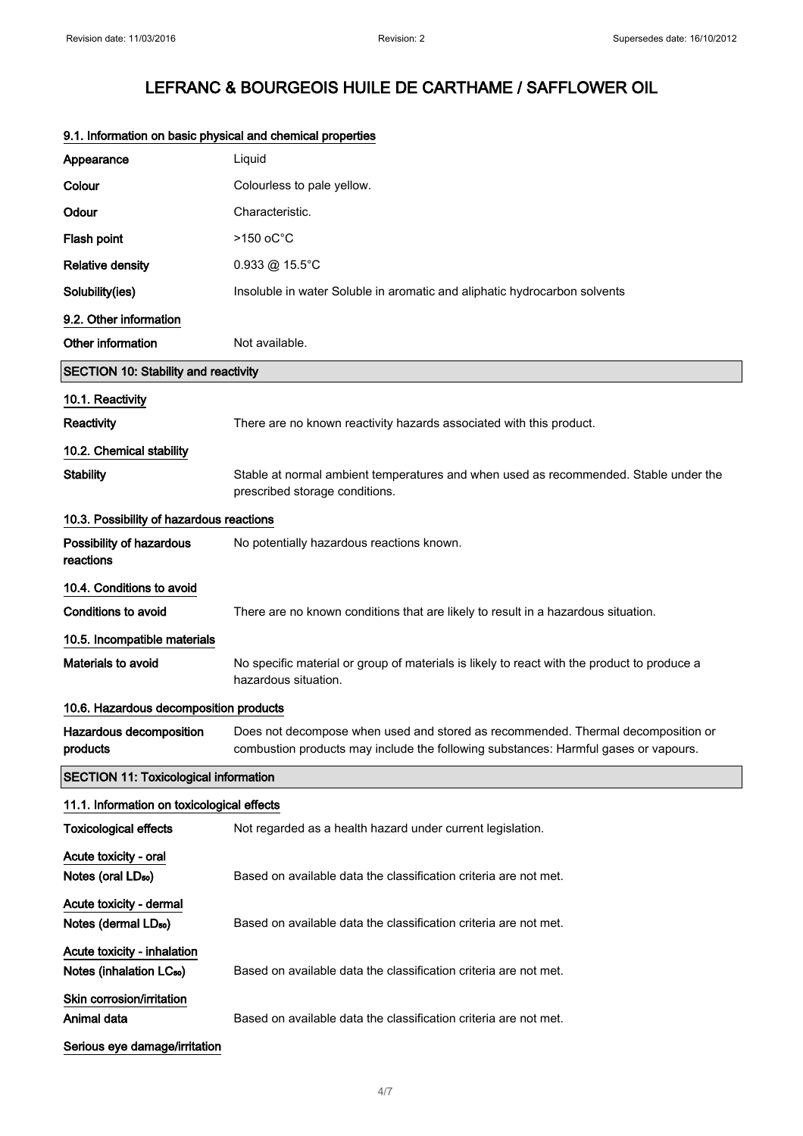| 9.1. Information on basic priysical and chemical properties         |                                                                                                                                                                         |
|---------------------------------------------------------------------|-------------------------------------------------------------------------------------------------------------------------------------------------------------------------|
| Appearance                                                          | Liquid                                                                                                                                                                  |
| Colour                                                              | Colourless to pale yellow.                                                                                                                                              |
| Odour                                                               | Characteristic.                                                                                                                                                         |
| Flash point                                                         | $>150$ oC $^{\circ}$ C                                                                                                                                                  |
| <b>Relative density</b>                                             | $0.933 \circledR 15.5^{\circ}C$                                                                                                                                         |
| Solubility(ies)                                                     | Insoluble in water Soluble in aromatic and aliphatic hydrocarbon solvents                                                                                               |
| 9.2. Other information                                              |                                                                                                                                                                         |
| Other information                                                   | Not available.                                                                                                                                                          |
| <b>SECTION 10: Stability and reactivity</b>                         |                                                                                                                                                                         |
| 10.1. Reactivity                                                    |                                                                                                                                                                         |
| Reactivity                                                          | There are no known reactivity hazards associated with this product.                                                                                                     |
| 10.2. Chemical stability                                            |                                                                                                                                                                         |
| <b>Stability</b>                                                    | Stable at normal ambient temperatures and when used as recommended. Stable under the<br>prescribed storage conditions.                                                  |
| 10.3. Possibility of hazardous reactions                            |                                                                                                                                                                         |
| Possibility of hazardous<br>reactions                               | No potentially hazardous reactions known.                                                                                                                               |
| 10.4. Conditions to avoid                                           |                                                                                                                                                                         |
| <b>Conditions to avoid</b>                                          | There are no known conditions that are likely to result in a hazardous situation.                                                                                       |
| 10.5. Incompatible materials                                        |                                                                                                                                                                         |
| Materials to avoid                                                  | No specific material or group of materials is likely to react with the product to produce a<br>hazardous situation.                                                     |
| 10.6. Hazardous decomposition products                              |                                                                                                                                                                         |
| Hazardous decomposition<br>products                                 | Does not decompose when used and stored as recommended. Thermal decomposition or<br>combustion products may include the following substances: Harmful gases or vapours. |
| <b>SECTION 11: Toxicological information</b>                        |                                                                                                                                                                         |
| 11.1. Information on toxicological effects                          |                                                                                                                                                                         |
| <b>Toxicological effects</b>                                        | Not regarded as a health hazard under current legislation.                                                                                                              |
| Acute toxicity - oral<br>Notes (oral LD <sub>50</sub> )             | Based on available data the classification criteria are not met.                                                                                                        |
| Acute toxicity - dermal<br>Notes (dermal LD <sub>50</sub> )         | Based on available data the classification criteria are not met.                                                                                                        |
| Acute toxicity - inhalation<br>Notes (inhalation LC <sub>50</sub> ) | Based on available data the classification criteria are not met.                                                                                                        |
| Skin corrosion/irritation<br>Animal data                            | Based on available data the classification criteria are not met.                                                                                                        |
| Serious eye damage/irritation                                       |                                                                                                                                                                         |

## 9.1. Information on basic physical and chemical properties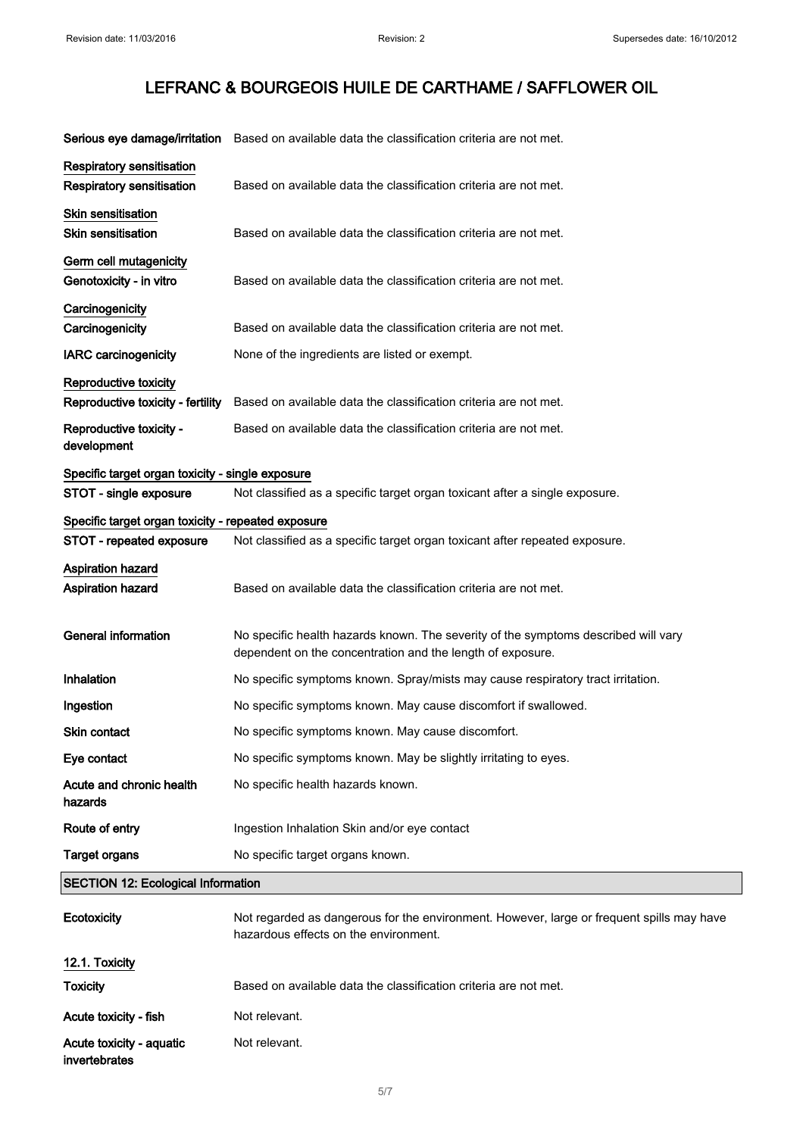|                                                    | Serious eye damage/irritation Based on available data the classification criteria are not met.                                                   |
|----------------------------------------------------|--------------------------------------------------------------------------------------------------------------------------------------------------|
| Respiratory sensitisation                          |                                                                                                                                                  |
| Respiratory sensitisation                          | Based on available data the classification criteria are not met.                                                                                 |
| Skin sensitisation                                 |                                                                                                                                                  |
| <b>Skin sensitisation</b>                          | Based on available data the classification criteria are not met.                                                                                 |
| Germ cell mutagenicity<br>Genotoxicity - in vitro  | Based on available data the classification criteria are not met.                                                                                 |
| Carcinogenicity                                    |                                                                                                                                                  |
| Carcinogenicity                                    | Based on available data the classification criteria are not met.                                                                                 |
| <b>IARC</b> carcinogenicity                        | None of the ingredients are listed or exempt.                                                                                                    |
| Reproductive toxicity                              |                                                                                                                                                  |
| Reproductive toxicity - fertility                  | Based on available data the classification criteria are not met.                                                                                 |
| Reproductive toxicity -                            | Based on available data the classification criteria are not met.                                                                                 |
| development                                        |                                                                                                                                                  |
| Specific target organ toxicity - single exposure   |                                                                                                                                                  |
| STOT - single exposure                             | Not classified as a specific target organ toxicant after a single exposure.                                                                      |
| Specific target organ toxicity - repeated exposure |                                                                                                                                                  |
| STOT - repeated exposure                           | Not classified as a specific target organ toxicant after repeated exposure.                                                                      |
| Aspiration hazard                                  |                                                                                                                                                  |
| Aspiration hazard                                  | Based on available data the classification criteria are not met.                                                                                 |
| <b>General information</b>                         | No specific health hazards known. The severity of the symptoms described will vary<br>dependent on the concentration and the length of exposure. |
| Inhalation                                         | No specific symptoms known. Spray/mists may cause respiratory tract irritation.                                                                  |
| Ingestion                                          | No specific symptoms known. May cause discomfort if swallowed.                                                                                   |
| Skin contact                                       | No specific symptoms known. May cause discomfort.                                                                                                |
| Eye contact                                        | No specific symptoms known. May be slightly irritating to eyes.                                                                                  |
| Acute and chronic health<br>hazards                | No specific health hazards known.                                                                                                                |
| Route of entry                                     | Ingestion Inhalation Skin and/or eye contact                                                                                                     |
| <b>Target organs</b>                               | No specific target organs known.                                                                                                                 |
| <b>SECTION 12: Ecological Information</b>          |                                                                                                                                                  |
| Ecotoxicity                                        | Not regarded as dangerous for the environment. However, large or frequent spills may have<br>hazardous effects on the environment.               |
| 12.1. Toxicity                                     |                                                                                                                                                  |
| Toxicity                                           | Based on available data the classification criteria are not met.                                                                                 |
| Acute toxicity - fish                              | Not relevant.                                                                                                                                    |
| Acute toxicity - aquatic<br>invertebrates          | Not relevant.                                                                                                                                    |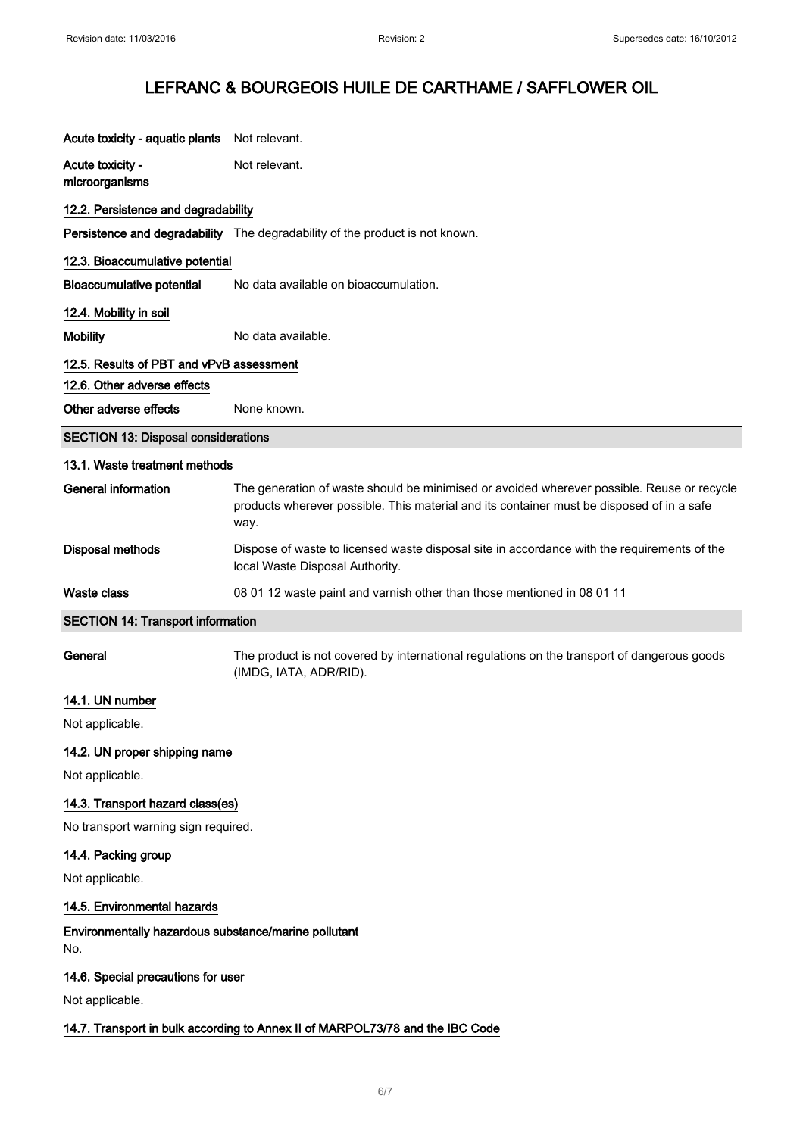| Acute toxicity - aquatic plants            | Not relevant.                                                                                                                                                                                   |  |
|--------------------------------------------|-------------------------------------------------------------------------------------------------------------------------------------------------------------------------------------------------|--|
| Acute toxicity -<br>microorganisms         | Not relevant.                                                                                                                                                                                   |  |
| 12.2. Persistence and degradability        |                                                                                                                                                                                                 |  |
|                                            | <b>Persistence and degradability</b> The degradability of the product is not known.                                                                                                             |  |
| 12.3. Bioaccumulative potential            |                                                                                                                                                                                                 |  |
| <b>Bioaccumulative potential</b>           | No data available on bioaccumulation.                                                                                                                                                           |  |
| 12.4. Mobility in soil                     |                                                                                                                                                                                                 |  |
| <b>Mobility</b>                            | No data available.                                                                                                                                                                              |  |
| 12.5. Results of PBT and vPvB assessment   |                                                                                                                                                                                                 |  |
| 12.6. Other adverse effects                |                                                                                                                                                                                                 |  |
| Other adverse effects                      | None known.                                                                                                                                                                                     |  |
| <b>SECTION 13: Disposal considerations</b> |                                                                                                                                                                                                 |  |
| 13.1. Waste treatment methods              |                                                                                                                                                                                                 |  |
| <b>General information</b>                 | The generation of waste should be minimised or avoided wherever possible. Reuse or recycle<br>products wherever possible. This material and its container must be disposed of in a safe<br>way. |  |
| <b>Disposal methods</b>                    | Dispose of waste to licensed waste disposal site in accordance with the requirements of the<br>local Waste Disposal Authority.                                                                  |  |
| <b>Waste class</b>                         | 08 01 12 waste paint and varnish other than those mentioned in 08 01 11                                                                                                                         |  |

#### SECTION 14: Transport information

General The product is not covered by international regulations on the transport of dangerous goods (IMDG, IATA, ADR/RID).

## 14.1. UN number

Not applicable.

### 14.2. UN proper shipping name

Not applicable.

### 14.3. Transport hazard class(es)

No transport warning sign required.

#### 14.4. Packing group

Not applicable.

### 14.5. Environmental hazards

Environmentally hazardous substance/marine pollutant No.

#### 14.6. Special precautions for user

Not applicable.

#### 14.7. Transport in bulk according to Annex II of MARPOL73/78 and the IBC Code